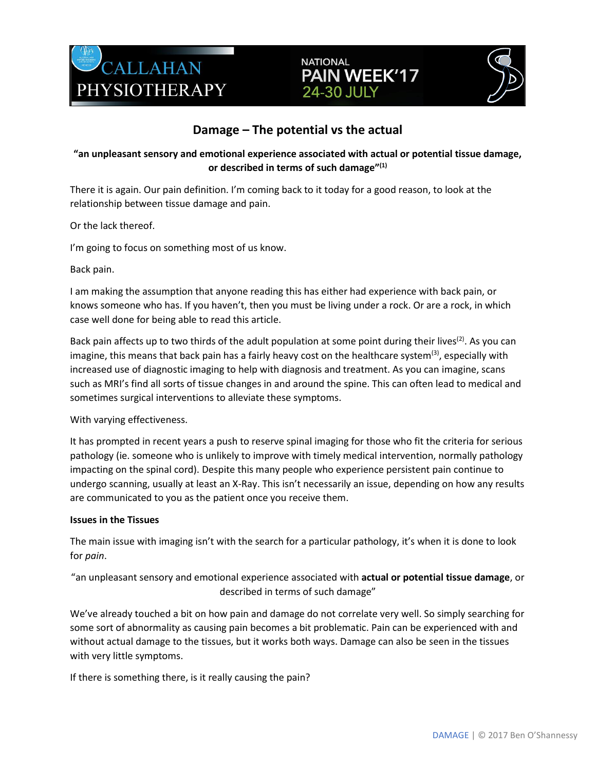





## **Damage – The potential vs the actual**

## **"an unpleasant sensory and emotional experience associated with actual or potential tissue damage, or described in terms of such damage"(1)**

There it is again. Our pain definition. I'm coming back to it today for a good reason, to look at the relationship between tissue damage and pain.

Or the lack thereof.

I'm going to focus on something most of us know.

Back pain.

I am making the assumption that anyone reading this has either had experience with back pain, or knows someone who has. If you haven't, then you must be living under a rock. Or are a rock, in which case well done for being able to read this article.

Back pain affects up to two thirds of the adult population at some point during their lives<sup>(2)</sup>. As you can imagine, this means that back pain has a fairly heavy cost on the healthcare system<sup>(3)</sup>, especially with increased use of diagnostic imaging to help with diagnosis and treatment. As you can imagine, scans such as MRI's find all sorts of tissue changes in and around the spine. This can often lead to medical and sometimes surgical interventions to alleviate these symptoms.

With varying effectiveness.

It has prompted in recent years a push to reserve spinal imaging for those who fit the criteria for serious pathology (ie. someone who is unlikely to improve with timely medical intervention, normally pathology impacting on the spinal cord). Despite this many people who experience persistent pain continue to undergo scanning, usually at least an X-Ray. This isn't necessarily an issue, depending on how any results are communicated to you as the patient once you receive them.

#### **Issues in the Tissues**

The main issue with imaging isn't with the search for a particular pathology, it's when it is done to look for *pain*.

"an unpleasant sensory and emotional experience associated with **actual or potential tissue damage**, or described in terms of such damage"

We've already touched a bit on how pain and damage do not correlate very well. So simply searching for some sort of abnormality as causing pain becomes a bit problematic. Pain can be experienced with and without actual damage to the tissues, but it works both ways. Damage can also be seen in the tissues with very little symptoms.

If there is something there, is it really causing the pain?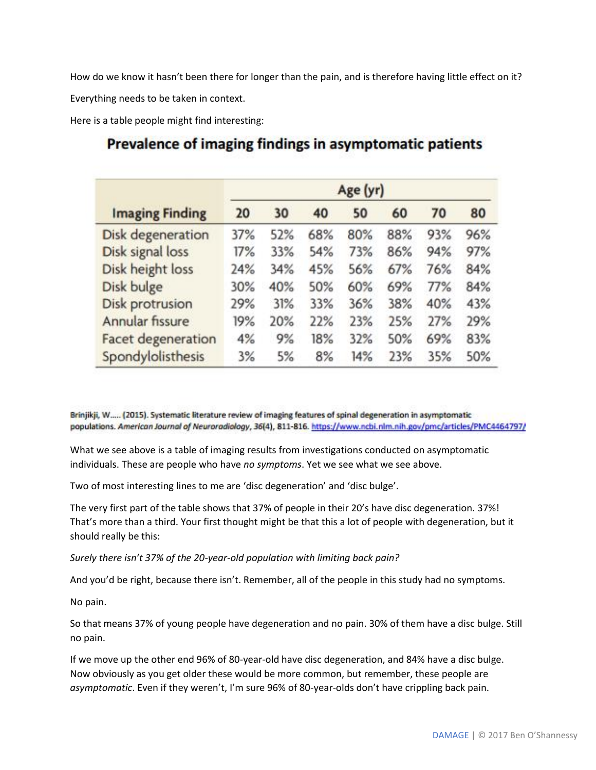How do we know it hasn't been there for longer than the pain, and is therefore having little effect on it?

Everything needs to be taken in context.

Here is a table people might find interesting:

| <b>Imaging Finding</b>    | Age (yr) |     |     |     |     |     |     |
|---------------------------|----------|-----|-----|-----|-----|-----|-----|
|                           | 20       | 30  | 40  | 50  | 60  | 70  | 80  |
| <b>Disk degeneration</b>  | 37%      | 52% | 68% | 80% | 88% | 93% | 96% |
| Disk signal loss          | 17%      | 33% | 54% | 73% | 86% | 94% | 97% |
| Disk height loss          | 24%      | 34% | 45% | 56% | 67% | 76% | 84% |
| Disk bulge                | 30%      | 40% | 50% | 60% | 69% | 77% | 84% |
| <b>Disk protrusion</b>    | 29%      | 31% | 33% | 36% | 38% | 40% | 43% |
| Annular fissure           | 19%      | 20% | 22% | 23% | 25% | 27% | 29% |
| <b>Facet degeneration</b> | 4%       | 9%  | 18% | 32% | 50% | 69% | 83% |
| Spondylolisthesis         | 3%       | 5%  | 8%  | 14% | 23% | 35% | 50% |

# Prevalence of imaging findings in asymptomatic patients

Brinjikji, W..... (2015). Systematic literature review of imaging features of spinal degeneration in asymptomatic populations. American Journal of Neuroradiology, 36(4), 811-816. https://www.ncbi.nlm.nih.gov/pmc/articles/PMC4464797/

What we see above is a table of imaging results from investigations conducted on asymptomatic individuals. These are people who have *no symptoms*. Yet we see what we see above.

Two of most interesting lines to me are 'disc degeneration' and 'disc bulge'.

The very first part of the table shows that 37% of people in their 20's have disc degeneration. 37%! That's more than a third. Your first thought might be that this a lot of people with degeneration, but it should really be this:

*Surely there isn't 37% of the 20-year-old population with limiting back pain?*

And you'd be right, because there isn't. Remember, all of the people in this study had no symptoms.

No pain.

So that means 37% of young people have degeneration and no pain. 30% of them have a disc bulge. Still no pain.

If we move up the other end 96% of 80-year-old have disc degeneration, and 84% have a disc bulge. Now obviously as you get older these would be more common, but remember, these people are *asymptomatic*. Even if they weren't, I'm sure 96% of 80-year-olds don't have crippling back pain.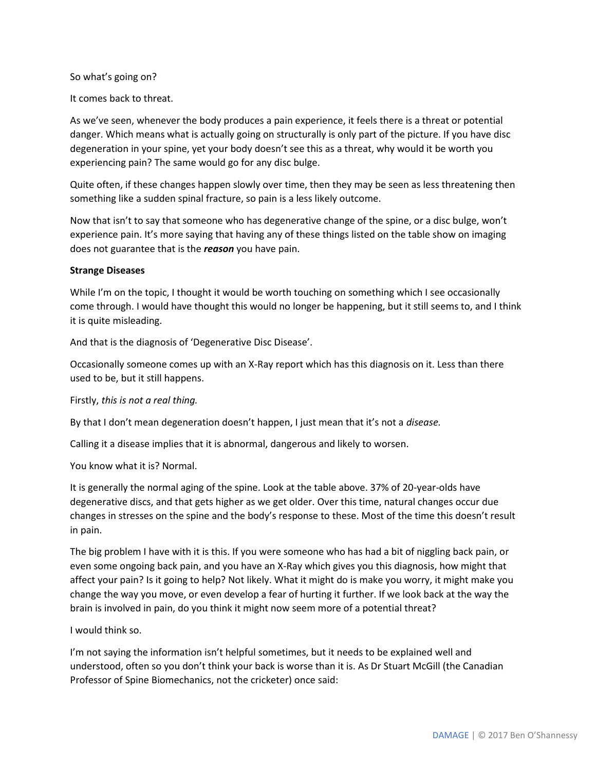#### So what's going on?

It comes back to threat.

As we've seen, whenever the body produces a pain experience, it feels there is a threat or potential danger. Which means what is actually going on structurally is only part of the picture. If you have disc degeneration in your spine, yet your body doesn't see this as a threat, why would it be worth you experiencing pain? The same would go for any disc bulge.

Quite often, if these changes happen slowly over time, then they may be seen as less threatening then something like a sudden spinal fracture, so pain is a less likely outcome.

Now that isn't to say that someone who has degenerative change of the spine, or a disc bulge, won't experience pain. It's more saying that having any of these things listed on the table show on imaging does not guarantee that is the *reason* you have pain.

#### **Strange Diseases**

While I'm on the topic, I thought it would be worth touching on something which I see occasionally come through. I would have thought this would no longer be happening, but it still seems to, and I think it is quite misleading.

And that is the diagnosis of 'Degenerative Disc Disease'.

Occasionally someone comes up with an X-Ray report which has this diagnosis on it. Less than there used to be, but it still happens.

Firstly, *this is not a real thing.*

By that I don't mean degeneration doesn't happen, I just mean that it's not a *disease.*

Calling it a disease implies that it is abnormal, dangerous and likely to worsen.

You know what it is? Normal.

It is generally the normal aging of the spine. Look at the table above. 37% of 20-year-olds have degenerative discs, and that gets higher as we get older. Over this time, natural changes occur due changes in stresses on the spine and the body's response to these. Most of the time this doesn't result in pain.

The big problem I have with it is this. If you were someone who has had a bit of niggling back pain, or even some ongoing back pain, and you have an X-Ray which gives you this diagnosis, how might that affect your pain? Is it going to help? Not likely. What it might do is make you worry, it might make you change the way you move, or even develop a fear of hurting it further. If we look back at the way the brain is involved in pain, do you think it might now seem more of a potential threat?

I would think so.

I'm not saying the information isn't helpful sometimes, but it needs to be explained well and understood, often so you don't think your back is worse than it is. As Dr Stuart McGill (the Canadian Professor of Spine Biomechanics, not the cricketer) once said: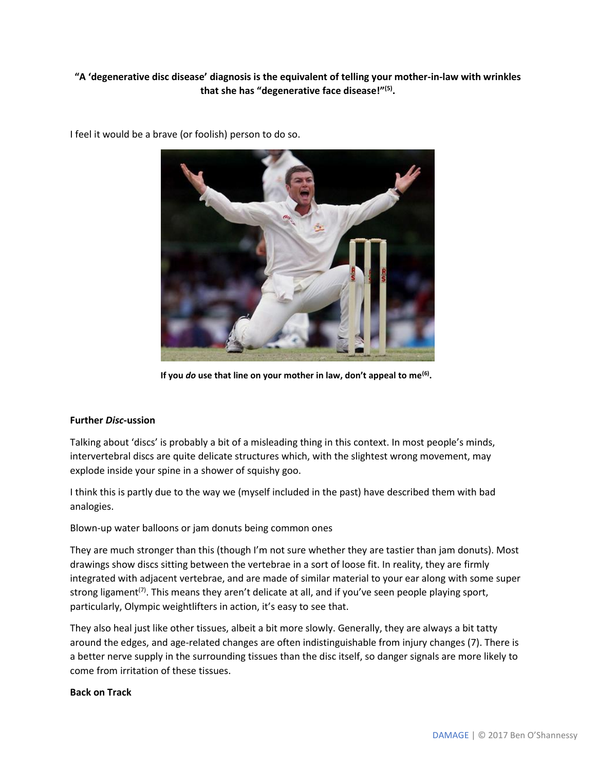## **"A 'degenerative disc disease' diagnosis is the equivalent of telling your mother-in-law with wrinkles that she has "degenerative face disease!"(5) .**



I feel it would be a brave (or foolish) person to do so.

**If you** *do* **use that line on your mother in law, don't appeal to me(6) .**

#### **Further** *Disc***-ussion**

Talking about 'discs' is probably a bit of a misleading thing in this context. In most people's minds, intervertebral discs are quite delicate structures which, with the slightest wrong movement, may explode inside your spine in a shower of squishy goo.

I think this is partly due to the way we (myself included in the past) have described them with bad analogies.

Blown-up water balloons or jam donuts being common ones

They are much stronger than this (though I'm not sure whether they are tastier than jam donuts). Most drawings show discs sitting between the vertebrae in a sort of loose fit. In reality, they are firmly integrated with adjacent vertebrae, and are made of similar material to your ear along with some super strong ligament<sup>(7)</sup>. This means they aren't delicate at all, and if you've seen people playing sport, particularly, Olympic weightlifters in action, it's easy to see that.

They also heal just like other tissues, albeit a bit more slowly. Generally, they are always a bit tatty around the edges, and age-related changes are often indistinguishable from injury changes (7). There is a better nerve supply in the surrounding tissues than the disc itself, so danger signals are more likely to come from irritation of these tissues.

#### **Back on Track**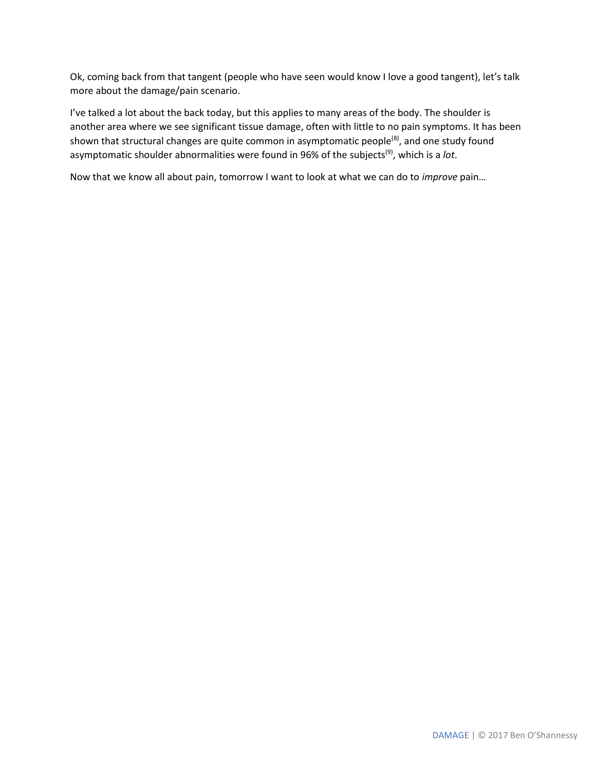Ok, coming back from that tangent (people who have seen would know I love a good tangent), let's talk more about the damage/pain scenario.

I've talked a lot about the back today, but this applies to many areas of the body. The shoulder is another area where we see significant tissue damage, often with little to no pain symptoms. It has been shown that structural changes are quite common in asymptomatic people<sup>(8)</sup>, and one study found asymptomatic shoulder abnormalities were found in 96% of the subjects<sup>(9)</sup>, which is a *lot*.

Now that we know all about pain, tomorrow I want to look at what we can do to *improve* pain…